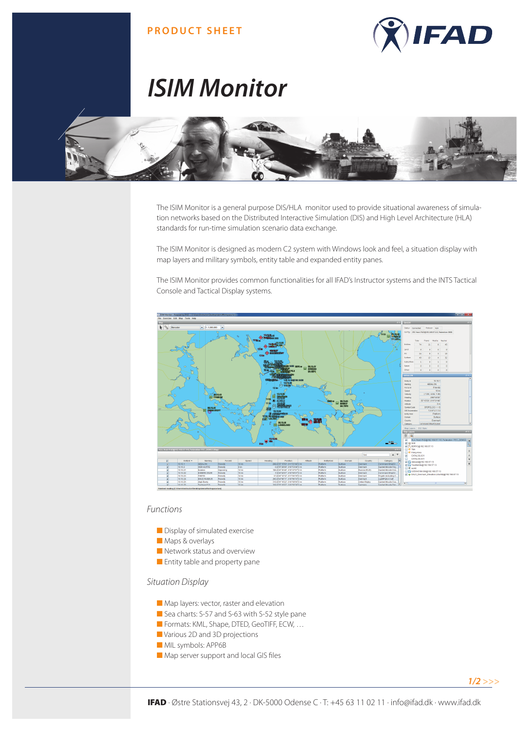## **PRODUCT SHEET**



# *ISIM Monitor*



The ISIM Monitor is a general purpose DIS/HLA monitor used to provide situational awareness of simulation networks based on the Distributed Interactive Simulation (DIS) and High Level Architecture (HLA) standards for run-time simulation scenario data exchange.

The ISIM Monitor is designed as modern C2 system with Windows look and feel, a situation display with map layers and military symbols, entity table and expanded entity panes.

The ISIM Monitor provides common functionalities for all IFAD's Instructor systems and the INTS Tactical Console and Tactical Display systems.



#### *Functions*

- Display of simulated exercise
- Maps & overlays
- Network status and overview
- Entity table and property pane

### *Situation Display*

- Map layers: vector, raster and elevation
- Sea charts: S-57 and S-63 with S-52 style pane
- Formats: KML, Shape, DTED, GeoTIFF, ECW, ...
- Various 2D and 3D projections
- MIL symbols: APP6B
- Map server support and local GIS files

*1/2 >>>*